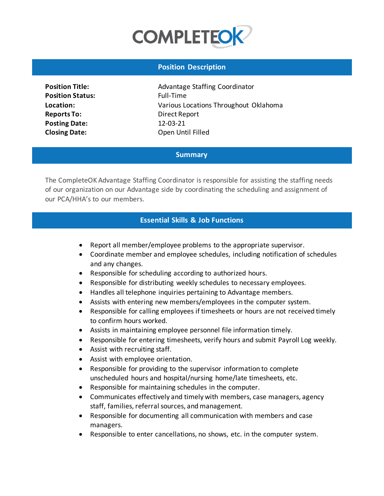

## **Position Description**

**Position Status:** Full-Time **Reports To:** Direct Report **Posting Date:** 12-03-21

**Position Title: Advantage Staffing Coordinator Location:** Various Locations Throughout Oklahoma **Closing Date:** Open Until Filled

## **Summary**

The CompleteOK Advantage Staffing Coordinator is responsible for assisting the staffing needs of our organization on our Advantage side by coordinating the scheduling and assignment of our PCA/HHA's to our members.

#### **Essential Skills & Job Functions**

- Report all member/employee problems to the appropriate supervisor.
- Coordinate member and employee schedules, including notification of schedules and any changes.
- Responsible for scheduling according to authorized hours.
- Responsible for distributing weekly schedules to necessary employees.
- Handles all telephone inquiries pertaining to Advantage members.
- Assists with entering new members/employees in the computer system.
- Responsible for calling employees if timesheets or hours are not received timely to confirm hours worked.
- Assists in maintaining employee personnel file information timely.
- Responsible for entering timesheets, verify hours and submit Payroll Log weekly.
- Assist with recruiting staff.
- Assist with employee orientation.
- Responsible for providing to the supervisor information to complete unscheduled hours and hospital/nursing home/late timesheets, etc.
- Responsible for maintaining schedules in the computer.
- Communicates effectively and timely with members, case managers, agency staff, families, referral sources, and management.
- Responsible for documenting all communication with members and case managers.
- Responsible to enter cancellations, no shows, etc. in the computer system.